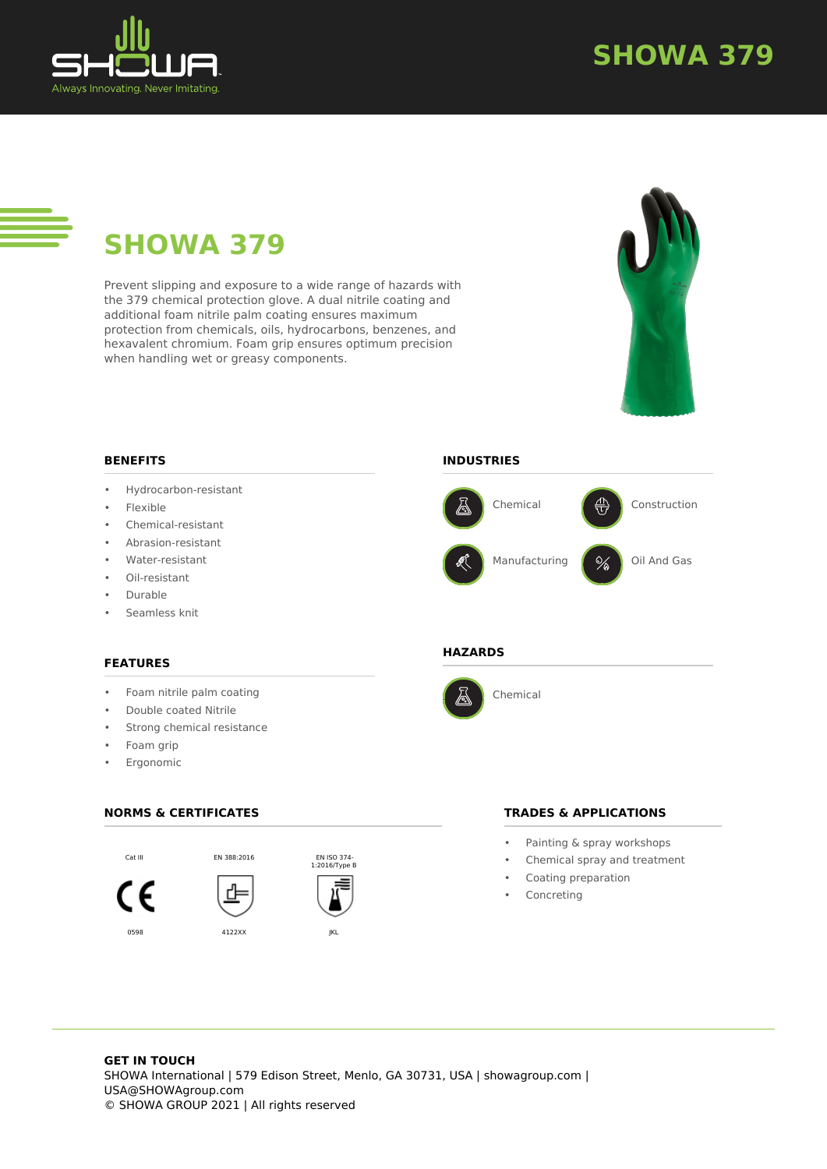

# **SHOWA 379**

# **SHOWA 379**

Prevent slipping and exposure to a wide range of hazards with the 379 chemical protection glove. A dual nitrile coating and additional foam nitrile palm coating ensures maximum protection from chemicals, oils, hydrocarbons, benzenes, and hexavalent chromium. Foam grip ensures optimum precision when handling wet or greasy components.



### **BENEFITS**

- Hydrocarbon-resistant
- Flexible
- Chemical-resistant
- Abrasion-resistant
- Water-resistant
- Oil-resistant
- Durable
- Seamless knit

### **FEATURES**

- Foam nitrile palm coating
- Double coated Nitrile
- Strong chemical resistance
- Foam grip
- **Ergonomic**

### **NORMS & CERTIFICATES**







### **INDUSTRIES**



#### **HAZARDS**



Chemical

### **TRADES & APPLICATIONS**

- Painting & spray workshops
- Chemical spray and treatment
- Coating preparation
- **Concreting**

### **GET IN TOUCH** SHOWA International | 579 Edison Street, Menlo, GA 30731, USA | showagroup.com | USA@SHOWAgroup.com © SHOWA GROUP 2021 | All rights reserved